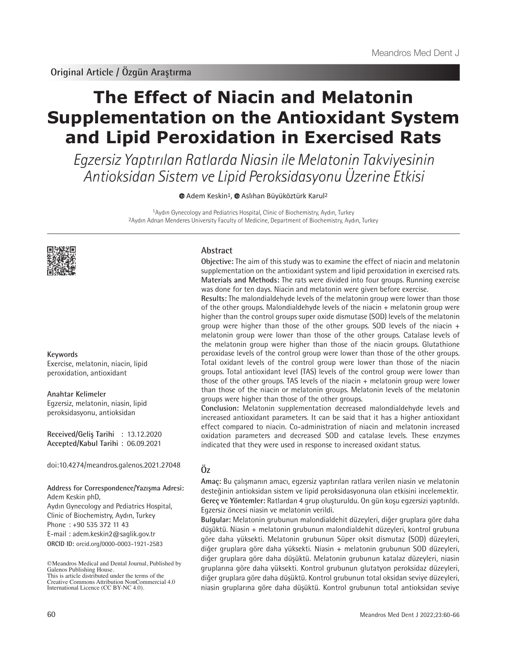**Original Article / Özgün Araştırma**

# **The Effect of Niacin and Melatonin Supplementation on the Antioxidant System and Lipid Peroxidation in Exercised Rats**

Egzersiz Yaptırılan Ratlarda Niasin ile Melatonin Takviyesinin Antioksidan Sistem ve Lipid Peroksidasyonu Üzerine Etkisi

**AdemKeskin<sup>1</sup>, © Aslıhan Büyüköztürk Karul<sup>2</sup>** 

1Aydın Gynecology and Pediatrics Hospital, Clinic of Biochemistry, Aydın, Turkey 2Aydın Adnan Menderes University Faculty of Medicine, Department of Biochemistry, Aydın, Turkey



#### **Keywords**

Exercise, melatonin, niacin, lipid peroxidation, antioxidant

#### **Anahtar Kelimeler**

Egzersiz, melatonin, niasin, lipid peroksidasyonu, antioksidan

**Received/Geliş Tarihi** : 13.12.2020 **Accepted/Kabul Tarihi** : 06.09.2021

doi:10.4274/meandros.galenos.2021.27048

## **Address for Correspondence/Yazışma Adresi:**

**ORCID ID:** orcid.org/0000-0003-1921-2583 Adem Keskin phD, Aydın Gynecology and Pediatrics Hospital, Clinic of Biochemistry, Aydın, Turkey Phone : +90 535 372 11 43 E-mail : adem.keskin2@saglik.gov.tr

©Meandros Medical and Dental Journal, Published by Galenos Publishing House. This is article distributed under the terms of the

Creative Commons Attribution NonCommercial 4.0 International Licence (CC BY-NC 4.0).

#### **Abstract**

**Objective:** The aim of this study was to examine the effect of niacin and melatonin supplementation on the antioxidant system and lipid peroxidation in exercised rats. **Materials and Methods:** The rats were divided into four groups. Running exercise was done for ten days. Niacin and melatonin were given before exercise.

**Results:** The malondialdehyde levels of the melatonin group were lower than those of the other groups. Malondialdehyde levels of the niacin + melatonin group were higher than the control groups super oxide dismutase (SOD) levels of the melatonin group were higher than those of the other groups. SOD levels of the niacin + melatonin group were lower than those of the other groups. Catalase levels of the melatonin group were higher than those of the niacin groups. Glutathione peroxidase levels of the control group were lower than those of the other groups. Total oxidant levels of the control group were lower than those of the niacin groups. Total antioxidant level (TAS) levels of the control group were lower than those of the other groups. TAS levels of the niacin  $+$  melatonin group were lower than those of the niacin or melatonin groups. Melatonin levels of the melatonin groups were higher than those of the other groups.

**Conclusion:** Melatonin supplementation decreased malondialdehyde levels and increased antioxidant parameters. It can be said that it has a higher antioxidant effect compared to niacin. Co-administration of niacin and melatonin increased oxidation parameters and decreased SOD and catalase levels. These enzymes indicated that they were used in response to increased oxidant status.

## **Öz**

**Amaç:** Bu çalışmanın amacı, egzersiz yaptırılan ratlara verilen niasin ve melatonin desteğinin antioksidan sistem ve lipid peroksidasyonuna olan etkisini incelemektir. **Gereç ve Yöntemler:** Ratlardan 4 grup oluşturuldu. On gün koşu egzersizi yaptırıldı. Egzersiz öncesi niasin ve melatonin verildi.

**Bulgular:** Melatonin grubunun malondialdehit düzeyleri, diğer gruplara göre daha düşüktü. Niasin + melatonin grubunun malondialdehit düzeyleri, kontrol grubuna göre daha yüksekti. Melatonin grubunun Süper oksit dismutaz (SOD) düzeyleri, diğer gruplara göre daha yüksekti. Niasin + melatonin grubunun SOD düzeyleri, diğer gruplara göre daha düşüktü. Melatonin grubunun katalaz düzeyleri, niasin gruplarına göre daha yüksekti. Kontrol grubunun glutatyon peroksidaz düzeyleri, diğer gruplara göre daha düşüktü. Kontrol grubunun total oksidan seviye düzeyleri, niasin gruplarına göre daha düşüktü. Kontrol grubunun total antioksidan seviye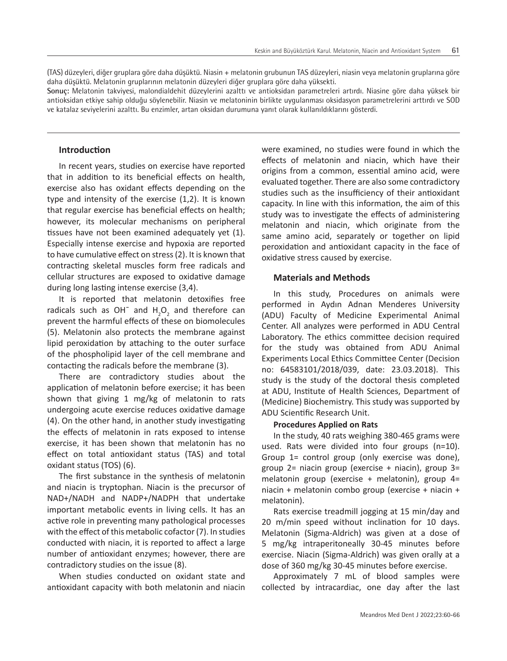(TAS) düzeyleri, diğer gruplara göre daha düşüktü. Niasin + melatonin grubunun TAS düzeyleri, niasin veya melatonin gruplarına göre daha düşüktü. Melatonin gruplarının melatonin düzeyleri diğer gruplara göre daha yüksekti.

**Sonuç:** Melatonin takviyesi, malondialdehit düzeylerini azalttı ve antioksidan parametreleri artırdı. Niasine göre daha yüksek bir antioksidan etkiye sahip olduğu söylenebilir. Niasin ve melatoninin birlikte uygulanması oksidasyon parametrelerini arttırdı ve SOD ve katalaz seviyelerini azalttı. Bu enzimler, artan oksidan durumuna yanıt olarak kullanıldıklarını gösterdi.

## **Introduction**

In recent years, studies on exercise have reported that in addition to its beneficial effects on health, exercise also has oxidant effects depending on the type and intensity of the exercise (1,2). It is known that regular exercise has beneficial effects on health; however, its molecular mechanisms on peripheral tissues have not been examined adequately yet (1). Especially intense exercise and hypoxia are reported to have cumulative effect on stress (2). It is known that contracting skeletal muscles form free radicals and cellular structures are exposed to oxidative damage during long lasting intense exercise (3,4).

It is reported that melatonin detoxifies free radicals such as  $OH^-$  and  $H_2O_2$  and therefore can prevent the harmful effects of these on biomolecules (5). Melatonin also protects the membrane against lipid peroxidation by attaching to the outer surface of the phospholipid layer of the cell membrane and contacting the radicals before the membrane (3).

There are contradictory studies about the application of melatonin before exercise; it has been shown that giving 1 mg/kg of melatonin to rats undergoing acute exercise reduces oxidative damage (4). On the other hand, in another study investigating the effects of melatonin in rats exposed to intense exercise, it has been shown that melatonin has no effect on total antioxidant status (TAS) and total oxidant status (TOS) (6).

The first substance in the synthesis of melatonin and niacin is tryptophan. Niacin is the precursor of NAD+/NADH and NADP+/NADPH that undertake important metabolic events in living cells. It has an active role in preventing many pathological processes with the effect of this metabolic cofactor (7). In studies conducted with niacin, it is reported to affect a large number of antioxidant enzymes; however, there are contradictory studies on the issue (8).

When studies conducted on oxidant state and antioxidant capacity with both melatonin and niacin were examined, no studies were found in which the effects of melatonin and niacin, which have their origins from a common, essential amino acid, were evaluated together. There are also some contradictory studies such as the insufficiency of their antioxidant capacity. In line with this information, the aim of this study was to investigate the effects of administering melatonin and niacin, which originate from the same amino acid, separately or together on lipid peroxidation and antioxidant capacity in the face of oxidative stress caused by exercise.

## **Materials and Methods**

In this study, Procedures on animals were performed in Aydın Adnan Menderes University (ADU) Faculty of Medicine Experimental Animal Center. All analyzes were performed in ADU Central Laboratory. The ethics committee decision required for the study was obtained from ADU Animal Experiments Local Ethics Committee Center (Decision no: 64583101/2018/039, date: 23.03.2018). This study is the study of the doctoral thesis completed at ADU, Institute of Health Sciences, Department of (Medicine) Biochemistry. This study was supported by ADU Scientific Research Unit.

## **Procedures Applied on Rats**

In the study, 40 rats weighing 380-465 grams were used. Rats were divided into four groups (n=10). Group 1= control group (only exercise was done), group 2= niacin group (exercise + niacin), group 3= melatonin group (exercise + melatonin), group 4= niacin + melatonin combo group (exercise + niacin + melatonin).

Rats exercise treadmill jogging at 15 min/day and 20 m/min speed without inclination for 10 days. Melatonin (Sigma-Aldrich) was given at a dose of 5 mg/kg intraperitoneally 30-45 minutes before exercise. Niacin (Sigma-Aldrich) was given orally at a dose of 360 mg/kg 30-45 minutes before exercise.

Approximately 7 mL of blood samples were collected by intracardiac, one day after the last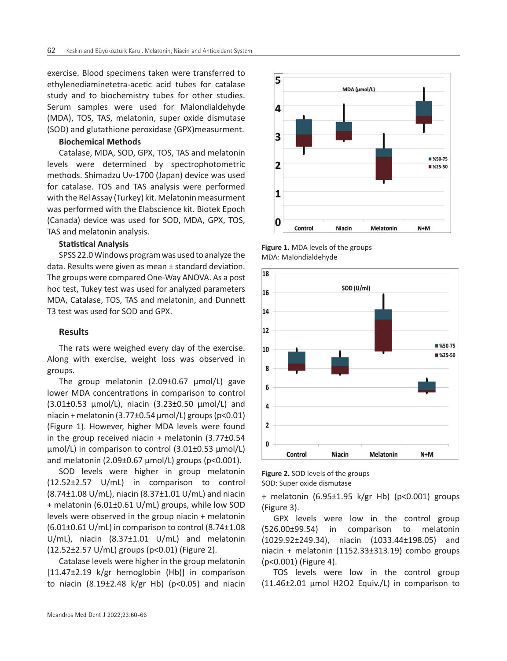exercise. Blood specimens taken were transferred to ethylenediaminetetra-acetic acid tubes for catalase study and to biochemistry tubes for other studies. Serum samples were used for Malondialdehyde (MDA), TOS, TAS, melatonin, super oxide dismutase (SOD) and glutathione peroxidase (GPX)measurment.

#### **Biochemical Methods**

Catalase, MDA, SOD, GPX, TOS, TAS and melatonin levels were determined by spectrophotometric methods. Shimadzu Uv-1700 (Japan) device was used for catalase. TOS and TAS analysis were performed with the Rel Assay (Turkey) kit. Melatonin measurment was performed with the Elabscience kit. Biotek Epoch (Canada) device was used for SOD, MDA, GPX, TOS, TAS and melatonin analysis.

### **Statistical Analysis**

SPSS 22.0 Windows program was used to analyze the data. Results were given as mean ± standard deviation. The groups were compared One-Way ANOVA. As a post hoc test, Tukey test was used for analyzed parameters MDA, Catalase, TOS, TAS and melatonin, and Dunnett T3 test was used for SOD and GPX.

#### **Results**

The rats were weighed every day of the exercise. Along with exercise, weight loss was observed in groups.

The group melatonin  $(2.09\pm0.67 \text{ mmol/L})$  gave lower MDA concentrations in comparison to control (3.01±0.53 µmol/L), niacin (3.23±0.50 µmol/L) and niacin + melatonin (3.77±0.54 µmol/L) groups (p<0.01) (Figure 1). However, higher MDA levels were found in the group received niacin + melatonin  $(3.77\pm0.54)$ µmol/L) in comparison to control (3.01±0.53 µmol/L) and melatonin  $(2.09\pm0.67 \mu \text{mol/L})$  groups (p<0.001).

SOD levels were higher in group melatonin (12.52±2.57 U/mL) in comparison to control (8.74±1.08 U/mL), niacin (8.37±1.01 U/mL) and niacin + melatonin (6.01±0.61 U/mL) groups, while low SOD levels were observed in the group niacin + melatonin  $(6.01\pm0.61 \text{ U/mL})$  in comparison to control  $(8.74\pm1.08 \text{ E})$ U/mL), niacin (8.37±1.01 U/mL) and melatonin (12.52±2.57 U/mL) groups (p<0.01) (Figure 2).

Catalase levels were higher in the group melatonin [11.47±2.19 k/gr hemoglobin (Hb)] in comparison to niacin  $(8.19\pm2.48 \text{ k/gr Hb})$  (p<0.05) and niacin



**Figure 1.** MDA levels of the groups MDA: Malondialdehyde



**Figure 2.** SOD levels of the groups SOD: Super oxide dismutase

+ melatonin (6.95±1.95 k/gr Hb) (p<0.001) groups (Figure 3).

GPX levels were low in the control group (526.00±99.54) in comparison to melatonin (1029.92±249.34), niacin (1033.44±198.05) and niacin + melatonin (1152.33±313.19) combo groups (p<0.001) (Figure 4).

TOS levels were low in the control group (11.46±2.01 µmol H2O2 Equiv./L) in comparison to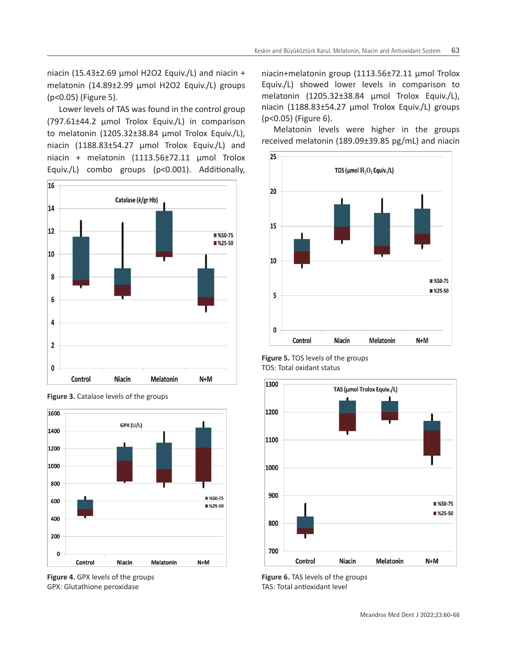niacin (15.43 $\pm$ 2.69 µmol H2O2 Equiv./L) and niacin + melatonin (14.89±2.99 µmol H2O2 Equiv./L) groups (p<0.05) (Figure 5).

Lower levels of TAS was found in the control group (797.61±44.2 µmol Trolox Equiv./L) in comparison to melatonin (1205.32±38.84 umol Trolox Equiv./L). niacin (1188.83±54.27 µmol Trolox Equiv./L) and niacin + melatonin (1113.56±72.11 µmol Trolox Equiv./L) combo groups (p<0.001). Additionally,





**Figure 3.** Catalase levels of the groups

niacin+melatonin group (1113.56±72.11 µmol Trolox Equiv./L) showed lower levels in comparison to melatonin (1205.32±38.84 µmol Trolox Equiv./L), niacin (1188.83±54.27 µmol Trolox Equiv./L) groups (p<0.05) (Figure 6).

Melatonin levels were higher in the groups received melatonin (189.09±39.85 pg/mL) and niacin



**Figure 5.** TOS levels of the groups TOS: Total oxidant status



**Figure 6.** TAS levels of the groups TAS: Total antioxidant level

**Figure 4.** GPX levels of the groups GPX: Glutathione peroxidase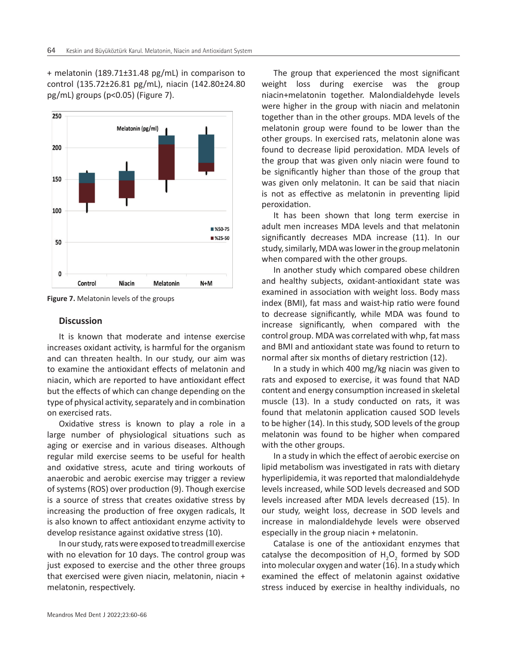+ melatonin (189.71±31.48 pg/mL) in comparison to control (135.72±26.81 pg/mL), niacin (142.80±24.80 pg/mL) groups (p<0.05) (Figure 7).





## **Discussion**

It is known that moderate and intense exercise increases oxidant activity, is harmful for the organism and can threaten health. In our study, our aim was to examine the antioxidant effects of melatonin and niacin, which are reported to have antioxidant effect but the effects of which can change depending on the type of physical activity, separately and in combination on exercised rats.

Oxidative stress is known to play a role in a large number of physiological situations such as aging or exercise and in various diseases. Although regular mild exercise seems to be useful for health and oxidative stress, acute and tiring workouts of anaerobic and aerobic exercise may trigger a review of systems (ROS) over production (9). Though exercise is a source of stress that creates oxidative stress by increasing the production of free oxygen radicals, It is also known to affect antioxidant enzyme activity to develop resistance against oxidative stress (10).

In our study, rats were exposed to treadmill exercise with no elevation for 10 days. The control group was just exposed to exercise and the other three groups that exercised were given niacin, melatonin, niacin + melatonin, respectively.

The group that experienced the most significant weight loss during exercise was the group niacin+melatonin together. Malondialdehyde levels were higher in the group with niacin and melatonin together than in the other groups. MDA levels of the melatonin group were found to be lower than the other groups. In exercised rats, melatonin alone was found to decrease lipid peroxidation. MDA levels of the group that was given only niacin were found to be significantly higher than those of the group that was given only melatonin. It can be said that niacin is not as effective as melatonin in preventing lipid peroxidation.

It has been shown that long term exercise in adult men increases MDA levels and that melatonin significantly decreases MDA increase (11). In our study, similarly, MDA was lower in the group melatonin when compared with the other groups.

In another study which compared obese children and healthy subjects, oxidant-antioxidant state was examined in association with weight loss. Body mass index (BMI), fat mass and waist-hip ratio were found to decrease significantly, while MDA was found to increase significantly, when compared with the control group. MDA was correlated with whp, fat mass and BMI and antioxidant state was found to return to normal after six months of dietary restriction (12).

In a study in which 400 mg/kg niacin was given to rats and exposed to exercise, it was found that NAD content and energy consumption increased in skeletal muscle (13). In a study conducted on rats, it was found that melatonin application caused SOD levels to be higher (14). In this study, SOD levels of the group melatonin was found to be higher when compared with the other groups.

In a study in which the effect of aerobic exercise on lipid metabolism was investigated in rats with dietary hyperlipidemia, it was reported that malondialdehyde levels increased, while SOD levels decreased and SOD levels increased after MDA levels decreased (15). In our study, weight loss, decrease in SOD levels and increase in malondialdehyde levels were observed especially in the group niacin + melatonin.

Catalase is one of the antioxidant enzymes that catalyse the decomposition of  $H_2O_2$  formed by SOD into molecular oxygen and water (16). In a study which examined the effect of melatonin against oxidative stress induced by exercise in healthy individuals, no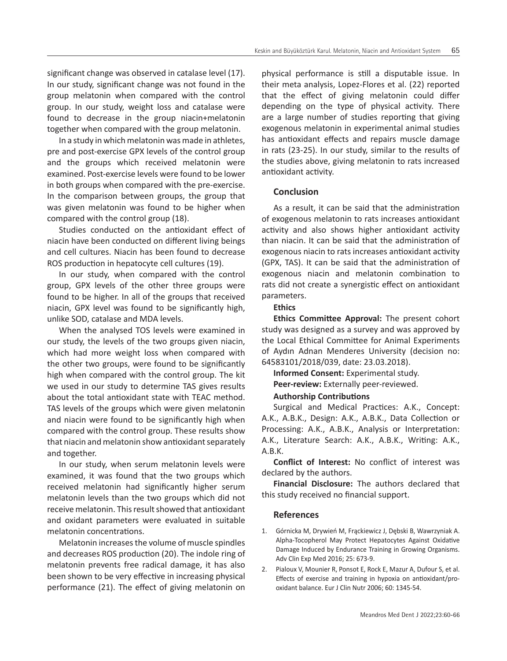significant change was observed in catalase level (17). In our study, significant change was not found in the group melatonin when compared with the control group. In our study, weight loss and catalase were found to decrease in the group niacin+melatonin together when compared with the group melatonin.

In a study in which melatonin was made in athletes, pre and post-exercise GPX levels of the control group and the groups which received melatonin were examined. Post-exercise levels were found to be lower in both groups when compared with the pre-exercise. In the comparison between groups, the group that was given melatonin was found to be higher when compared with the control group (18).

Studies conducted on the antioxidant effect of niacin have been conducted on different living beings and cell cultures. Niacin has been found to decrease ROS production in hepatocyte cell cultures (19).

In our study, when compared with the control group, GPX levels of the other three groups were found to be higher. In all of the groups that received niacin, GPX level was found to be significantly high, unlike SOD, catalase and MDA levels.

When the analysed TOS levels were examined in our study, the levels of the two groups given niacin, which had more weight loss when compared with the other two groups, were found to be significantly high when compared with the control group. The kit we used in our study to determine TAS gives results about the total antioxidant state with TEAC method. TAS levels of the groups which were given melatonin and niacin were found to be significantly high when compared with the control group. These results show that niacin and melatonin show antioxidant separately and together.

In our study, when serum melatonin levels were examined, it was found that the two groups which received melatonin had significantly higher serum melatonin levels than the two groups which did not receive melatonin. This result showed that antioxidant and oxidant parameters were evaluated in suitable melatonin concentrations.

Melatonin increases the volume of muscle spindles and decreases ROS production (20). The indole ring of melatonin prevents free radical damage, it has also been shown to be very effective in increasing physical performance (21). The effect of giving melatonin on

physical performance is still a disputable issue. In their meta analysis, Lopez-Flores et al. (22) reported that the effect of giving melatonin could differ depending on the type of physical activity. There are a large number of studies reporting that giving exogenous melatonin in experimental animal studies has antioxidant effects and repairs muscle damage in rats (23-25). In our study, similar to the results of the studies above, giving melatonin to rats increased antioxidant activity.

## **Conclusion**

As a result, it can be said that the administration of exogenous melatonin to rats increases antioxidant activity and also shows higher antioxidant activity than niacin. It can be said that the administration of exogenous niacin to rats increases antioxidant activity (GPX, TAS). It can be said that the administration of exogenous niacin and melatonin combination to rats did not create a synergistic effect on antioxidant parameters.

#### **Ethics**

**Ethics Committee Approval:** The present cohort study was designed as a survey and was approved by the Local Ethical Committee for Animal Experiments of Aydın Adnan Menderes University (decision no: 64583101/2018/039, date: 23.03.2018).

**Informed Consent:** Experimental study. **Peer-review:** Externally peer-reviewed.

## **Authorship Contributions**

Surgical and Medical Practices: A.K., Concept: A.K., A.B.K., Design: A.K., A.B.K., Data Collection or Processing: A.K., A.B.K., Analysis or Interpretation: A.K., Literature Search: A.K., A.B.K., Writing: A.K., A.B.K.

**Conflict of Interest:** No conflict of interest was declared by the authors.

**Financial Disclosure:** The authors declared that this study received no financial support.

## **References**

- 1. Górnicka M, Drywień M, Frąckiewicz J, Dębski B, Wawrzyniak A. Alpha-Tocopherol May Protect Hepatocytes Against Oxidative Damage Induced by Endurance Training in Growing Organisms. Adv Clin Exp Med 2016; 25: 673-9.
- 2. Pialoux V, Mounier R, Ponsot E, Rock E, Mazur A, Dufour S, et al. Effects of exercise and training in hypoxia on antioxidant/prooxidant balance. Eur J Clin Nutr 2006; 60: 1345-54.